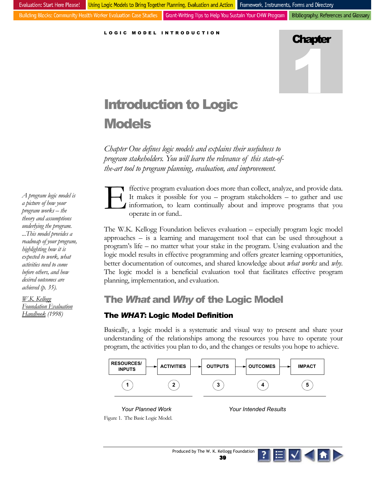Using Logic Models to Bring Together Planning, Evaluation and Action Framework, Instruments, Forms and Directory

Grant-Writing Tips to Help You Sustain Your CHW Program Bibliography, References and Glossary Building Blocks: Community Health Worker Evaluation Case Studies

LOGIC MODEL INTRODUCTION



# Introduction to Logic **Models**

*Chapter One defines logic models and explains their usefulness to program stakeholders. You will learn the relevance of this state-ofthe-art tool to program planning, evaluation, and improvement.* 

ffective program evaluation does more than collect, analyze, and provide data. It makes it possible for you – program stakeholders – to gather and use information, to learn continually about and improve programs that you operate in or fund..  $\begin{array}{c}\n\begin{array}{c}\n\text{ff}\\
\text{It}\\
\text{inf}\\
\text{op}\n\end{array}\n\end{array}$ 

The W.K. Kellogg Foundation believes evaluation – especially program logic model approaches – is a learning and management tool that can be used throughout a program's life – no matter what your stake in the program. Using evaluation and the logic model results in effective programming and offers greater learning opportunities, better documentation of outcomes, and shared knowledge about *what works* and *why*. The logic model is a beneficial evaluation tool that facilitates effective program planning, implementation, and evaluation.

# The *What* and *Why* of the Logic Model

# The *WHAT*: Logic Model Definition

Basically, a logic model is a systematic and visual way to present and share your understanding of the relationships among the resources you have to operate your program, the activities you plan to do, and the changes or results you hope to achieve.



Figure 1. The Basic Logic Model.

*Your Planned Work Your Intended Results*





*A program logic model is a picture of how your program works – the theory and assumptions underlying the program. ...This model provides a roadmap of your program, highlighting how it is expected to work, what activities need to come before others, and how desired outcomes are achieved (p. 35).* 

*W.K. Kellogg Foundation Evaluation Handbook (1998)*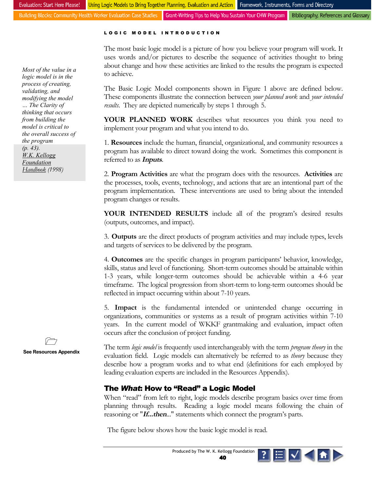

Building Blocks: Community Health Worker Evaluation Case Studies Grant-Writing Tips to Help You Sustain Your CHW Program Bibliography, References and Glossary

#### LOGIC MODEL INTRODUCTION

The most basic logic model is a picture of how you believe your program will work. It uses words and/or pictures to describe the sequence of activities thought to bring about change and how these activities are linked to the results the program is expected to achieve.

The Basic Logic Model components shown in Figure 1 above are defined below. These components illustrate the connection between *your planned work* and *your intended results*. They are depicted numerically by steps 1 through 5.

YOUR PLANNED WORK describes what resources you think you need to implement your program and what you intend to do.

1. **Resources** include the human, financial, organizational, and community resources a program has available to direct toward doing the work. Sometimes this component is referred to as **Inputs**.

2. **Program Activities** are what the program does with the resources. **Activities** are the processes, tools, events, technology, and actions that are an intentional part of the program implementation. These interventions are used to bring about the intended program changes or results.

**YOUR INTENDED RESULTS** include all of the program's desired results (outputs, outcomes, and impact).

3. **Outputs** are the direct products of program activities and may include types, levels and targets of services to be delivered by the program.

4. **Outcomes** are the specific changes in program participants' behavior, knowledge, skills, status and level of functioning. Short-term outcomes should be attainable within 1-3 years, while longer-term outcomes should be achievable within a 4-6 year timeframe. The logical progression from short-term to long-term outcomes should be reflected in impact occurring within about 7-10 years.

5. **Impact** is the fundamental intended or unintended change occurring in organizations, communities or systems as a result of program activities within 7-10 years. In the current model of WKKF grantmaking and evaluation, impact often occurs after the conclusion of project funding.

The term *logic model* is frequently used interchangeably with the term *program theory* in the evaluation field. Logic models can alternatively be referred to as *theory* because they describe how a program works and to what end (definitions for each employed by leading evaluation experts are included in the Resources Appendix).

### The *What*: How to "Read" a Logic Model

When "read" from left to right, logic models describe program basics over time from planning through results. Reading a logic model means following the chain of reasoning or "**If...then**..." statements which connect the program's parts.

The figure below shows how the basic logic model is read.



*Most of the value in a logic model is in the process of creating, validating, and modifying the model … The Clarity of thinking that occurs from building the model is critical to the overall success of the program (p. 43). W.K. Kellogg Foundation Handbook (1998)* 



**See Resources Appendix**